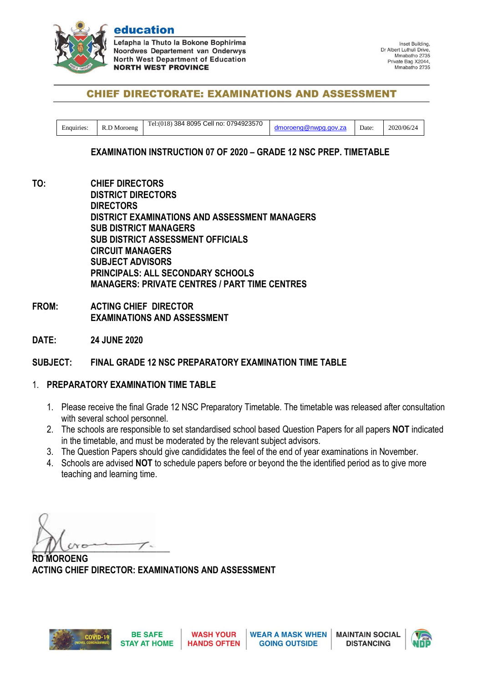

education

efapha la Thuto la Bokone Bophirima **Noordwes Departement van Onderwys North West Department of Education NORTH WEST PROVINCE** 

Inset Building. Dr Albert Luthuli Drive Mmabatho 2735 Private Bag X2044, Mmabatho 2735

# **CHIEF DIRECTORATE: EXAMINATIONS AND ASSESSMENT**

| Enquiries: | ת Moroeng<br>R.L. | Cell no: 0794923570<br>384 8095<br>$Tel: (018)$ . | moroeng@nwpg.gov.za | Date: | 2020/06/24 |
|------------|-------------------|---------------------------------------------------|---------------------|-------|------------|
|------------|-------------------|---------------------------------------------------|---------------------|-------|------------|

### **EXAMINATION INSTRUCTION 07 OF 2020 – GRADE 12 NSC PREP. TIMETABLE**

**TO: CHIEF DIRECTORS DISTRICT DIRECTORS DIRECTORS DISTRICT EXAMINATIONS AND ASSESSMENT MANAGERS SUB DISTRICT MANAGERS SUB DISTRICT ASSESSMENT OFFICIALS CIRCUIT MANAGERS SUBJECT ADVISORS PRINCIPALS: ALL SECONDARY SCHOOLS MANAGERS: PRIVATE CENTRES / PART TIME CENTRES**

- **FROM: ACTING CHIEF DIRECTOR EXAMINATIONS AND ASSESSMENT**
- **DATE: 24 JUNE 2020**

### **SUBJECT: FINAL GRADE 12 NSC PREPARATORY EXAMINATION TIME TABLE**

### 1. **PREPARATORY EXAMINATION TIME TABLE**

- 1. Please receive the final Grade 12 NSC Preparatory Timetable. The timetable was released after consultation with several school personnel.
- 2. The schools are responsible to set standardised school based Question Papers for all papers **NOT** indicated in the timetable, and must be moderated by the relevant subject advisors.
- 3. The Question Papers should give candididates the feel of the end of year examinations in November.
- 4. Schools are advised **NOT** to schedule papers before or beyond the the identified period as to give more teaching and learning time.

 $\mu$  and  $\mu$ 

**RD MOROENG ACTING CHIEF DIRECTOR: EXAMINATIONS AND ASSESSMENT**